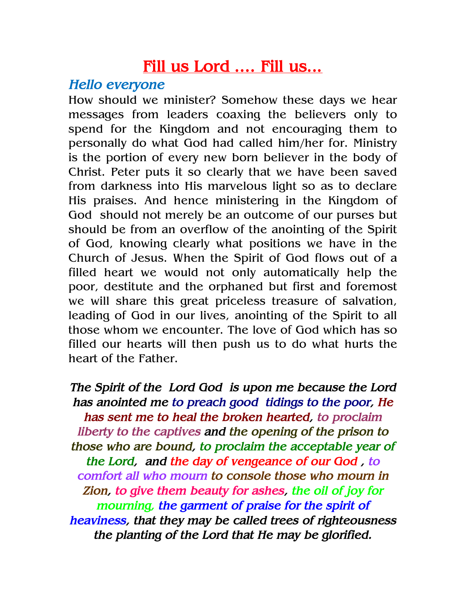## Fill us Lord .... Fill us...

## Hello everyone

How should we minister? Somehow these days we hear messages from leaders coaxing the believers only to spend for the Kingdom and not encouraging them to personally do what God had called him/her for. Ministry is the portion of every new born believer in the body of Christ. Peter puts it so clearly that we have been saved from darkness into His marvelous light so as to declare His praises. And hence ministering in the Kingdom of God should not merely be an outcome of our purses but should be from an overflow of the anointing of the Spirit of God, knowing clearly what positions we have in the Church of Jesus. When the Spirit of God flows out of a filled heart we would not only automatically help the poor, destitute and the orphaned but first and foremost we will share this great priceless treasure of salvation, leading of God in our lives, anointing of the Spirit to all those whom we encounter. The love of God which has so filled our hearts will then push us to do what hurts the heart of the Father.

The Spirit of the Lord God is upon me because the Lord has anointed me to preach good tidings to the poor, He has sent me to heal the broken hearted, to proclaim liberty to the captives and the opening of the prison to those who are bound, to proclaim the acceptable year of the Lord, and the day of vengeance of our God , to comfort all who mourn to console those who mourn in Zion, to give them beauty for ashes, the oil of joy for mourning, the garment of praise for the spirit of heaviness, that they may be called trees of righteousness the planting of the Lord that He may be glorified.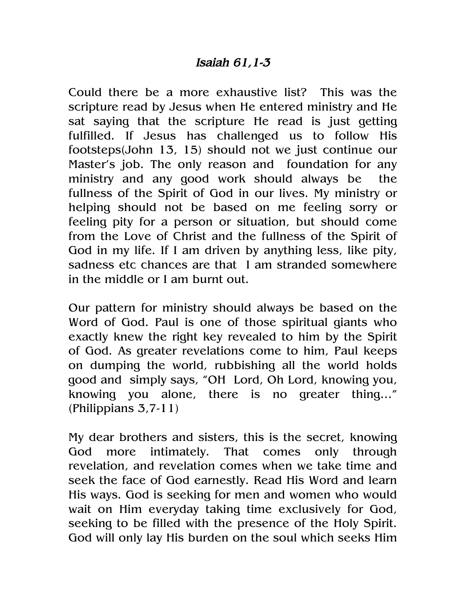## Isaiah 61,1-3

Could there be a more exhaustive list? This was the scripture read by Jesus when He entered ministry and He sat saying that the scripture He read is just getting fulfilled. If Jesus has challenged us to follow His footsteps(John 13, 15) should not we just continue our Master's job. The only reason and foundation for any ministry and any good work should always be the fullness of the Spirit of God in our lives. My ministry or helping should not be based on me feeling sorry or feeling pity for a person or situation, but should come from the Love of Christ and the fullness of the Spirit of God in my life. If I am driven by anything less, like pity, sadness etc chances are that I am stranded somewhere in the middle or I am burnt out.

Our pattern for ministry should always be based on the Word of God. Paul is one of those spiritual giants who exactly knew the right key revealed to him by the Spirit of God. As greater revelations come to him, Paul keeps on dumping the world, rubbishing all the world holds good and simply says, "OH Lord, Oh Lord, knowing you, knowing you alone, there is no greater thing…" (Philippians 3,7-11)

My dear brothers and sisters, this is the secret, knowing God more intimately. That comes only through revelation, and revelation comes when we take time and seek the face of God earnestly. Read His Word and learn His ways. God is seeking for men and women who would wait on Him everyday taking time exclusively for God, seeking to be filled with the presence of the Holy Spirit. God will only lay His burden on the soul which seeks Him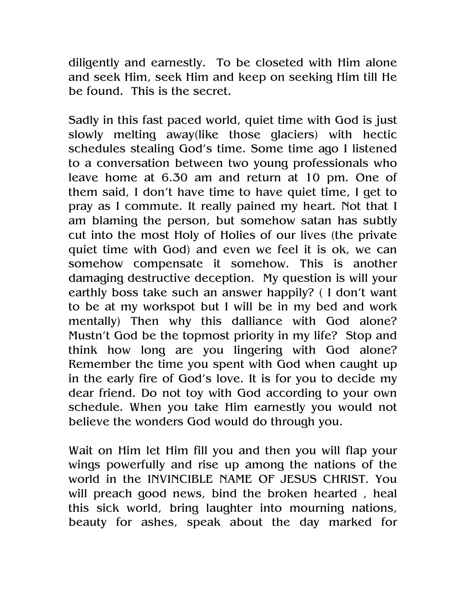diligently and earnestly. To be closeted with Him alone and seek Him, seek Him and keep on seeking Him till He be found. This is the secret.

Sadly in this fast paced world, quiet time with God is just slowly melting away(like those glaciers) with hectic schedules stealing God's time. Some time ago I listened to a conversation between two young professionals who leave home at 6.30 am and return at 10 pm. One of them said, I don't have time to have quiet time, I get to pray as I commute. It really pained my heart. Not that I am blaming the person, but somehow satan has subtly cut into the most Holy of Holies of our lives (the private quiet time with God) and even we feel it is ok, we can somehow compensate it somehow. This is another damaging destructive deception. My question is will your earthly boss take such an answer happily? ( I don't want to be at my workspot but I will be in my bed and work mentally) Then why this dalliance with God alone? Mustn't God be the topmost priority in my life? Stop and think how long are you lingering with God alone? Remember the time you spent with God when caught up in the early fire of God's love. It is for you to decide my dear friend. Do not toy with God according to your own schedule. When you take Him earnestly you would not believe the wonders God would do through you.

Wait on Him let Him fill you and then you will flap your wings powerfully and rise up among the nations of the world in the INVINCIBLE NAME OF JESUS CHRIST. You will preach good news, bind the broken hearted , heal this sick world, bring laughter into mourning nations, beauty for ashes, speak about the day marked for